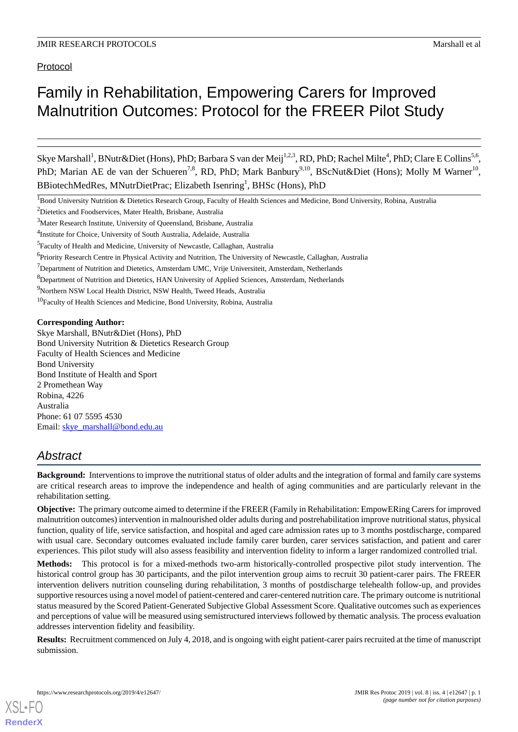Protocol

# Family in Rehabilitation, Empowering Carers for Improved Malnutrition Outcomes: Protocol for the FREER Pilot Study

Skye Marshall<sup>1</sup>, BNutr&Diet (Hons), PhD; Barbara S van der Meij<sup>1,2,3</sup>, RD, PhD; Rachel Milte<sup>4</sup>, PhD; Clare E Collins<sup>5,6</sup>, PhD; Marian AE de van der Schueren<sup>7,8</sup>, RD, PhD; Mark Banbury<sup>9,10</sup>, BScNut&Diet (Hons); Molly M Warner<sup>10</sup>, BBiotechMedRes, MNutrDietPrac; Elizabeth Isenring<sup>1</sup>, BHSc (Hons), PhD

<sup>1</sup>Bond University Nutrition & Dietetics Research Group, Faculty of Health Sciences and Medicine, Bond University, Robina, Australia

<sup>2</sup>Dietetics and Foodservices, Mater Health, Brisbane, Australia

<sup>8</sup>Department of Nutrition and Dietetics, HAN University of Applied Sciences, Amsterdam, Netherlands

<sup>9</sup>Northern NSW Local Health District, NSW Health, Tweed Heads, Australia

<sup>10</sup>Faculty of Health Sciences and Medicine, Bond University, Robina, Australia

**Corresponding Author:**

Skye Marshall, BNutr&Diet (Hons), PhD Bond University Nutrition & Dietetics Research Group Faculty of Health Sciences and Medicine Bond University Bond Institute of Health and Sport 2 Promethean Way Robina, 4226 Australia Phone: 61 07 5595 4530 Email: [skye\\_marshall@bond.edu.au](mailto:skye_marshall@bond.edu.au)

# *Abstract*

**Background:** Interventions to improve the nutritional status of older adults and the integration of formal and family care systems are critical research areas to improve the independence and health of aging communities and are particularly relevant in the rehabilitation setting.

**Objective:** The primary outcome aimed to determine if the FREER (Family in Rehabilitation: EmpowERing Carers for improved malnutrition outcomes) intervention in malnourished older adults during and postrehabilitation improve nutritional status, physical function, quality of life, service satisfaction, and hospital and aged care admission rates up to 3 months postdischarge, compared with usual care. Secondary outcomes evaluated include family carer burden, carer services satisfaction, and patient and carer experiences. This pilot study will also assess feasibility and intervention fidelity to inform a larger randomized controlled trial.

**Methods:** This protocol is for a mixed-methods two-arm historically-controlled prospective pilot study intervention. The historical control group has 30 participants, and the pilot intervention group aims to recruit 30 patient-carer pairs. The FREER intervention delivers nutrition counseling during rehabilitation, 3 months of postdischarge telehealth follow-up, and provides supportive resources using a novel model of patient-centered and carer-centered nutrition care. The primary outcome is nutritional status measured by the Scored Patient-Generated Subjective Global Assessment Score. Qualitative outcomes such as experiences and perceptions of value will be measured using semistructured interviews followed by thematic analysis. The process evaluation addresses intervention fidelity and feasibility.

**Results:** Recruitment commenced on July 4, 2018, and is ongoing with eight patient-carer pairs recruited at the time of manuscript submission.

<sup>3</sup>Mater Research Institute, University of Queensland, Brisbane, Australia

<sup>&</sup>lt;sup>4</sup>Institute for Choice, University of South Australia, Adelaide, Australia

<sup>&</sup>lt;sup>5</sup> Faculty of Health and Medicine, University of Newcastle, Callaghan, Australia

<sup>&</sup>lt;sup>6</sup>Priority Research Centre in Physical Activity and Nutrition, The University of Newcastle, Callaghan, Australia

 $<sup>7</sup>$ Department of Nutrition and Dietetics, Amsterdam UMC, Vrije Universiteit, Amsterdam, Netherlands</sup>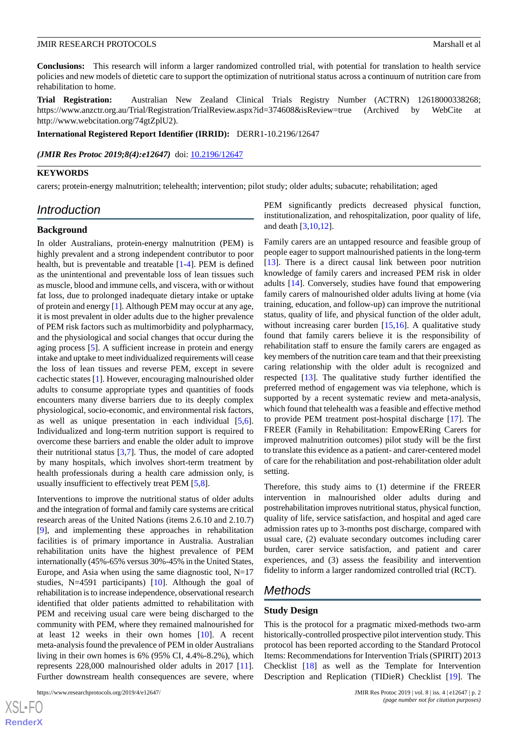**Conclusions:** This research will inform a larger randomized controlled trial, with potential for translation to health service policies and new models of dietetic care to support the optimization of nutritional status across a continuum of nutrition care from rehabilitation to home.

**Trial Registration:** Australian New Zealand Clinical Trials Registry Number (ACTRN) 12618000338268; https://www.anzctr.org.au/Trial/Registration/TrialReview.aspx?id=374608&isReview=true (Archived by WebCite at http://www.webcitation.org/74gtZplU2).

**International Registered Report Identifier (IRRID):** DERR1-10.2196/12647

*(JMIR Res Protoc 2019;8(4):e12647)* doi:  $10.2196/12647$ 

#### **KEYWORDS**

carers; protein-energy malnutrition; telehealth; intervention; pilot study; older adults; subacute; rehabilitation; aged

# *Introduction*

#### **Background**

In older Australians, protein-energy malnutrition (PEM) is highly prevalent and a strong independent contributor to poor health, but is preventable and treatable [\[1](#page-6-0)[-4](#page-6-1)]. PEM is defined as the unintentional and preventable loss of lean tissues such as muscle, blood and immune cells, and viscera, with or without fat loss, due to prolonged inadequate dietary intake or uptake of protein and energy [[1\]](#page-6-0). Although PEM may occur at any age, it is most prevalent in older adults due to the higher prevalence of PEM risk factors such as multimorbidity and polypharmacy, and the physiological and social changes that occur during the aging process [\[5](#page-6-2)]. A sufficient increase in protein and energy intake and uptake to meet individualized requirements will cease the loss of lean tissues and reverse PEM, except in severe cachectic states [[1\]](#page-6-0). However, encouraging malnourished older adults to consume appropriate types and quantities of foods encounters many diverse barriers due to its deeply complex physiological, socio-economic, and environmental risk factors, as well as unique presentation in each individual [\[5](#page-6-2),[6\]](#page-6-3). Individualized and long-term nutrition support is required to overcome these barriers and enable the older adult to improve their nutritional status  $[3,7]$  $[3,7]$  $[3,7]$ . Thus, the model of care adopted by many hospitals, which involves short-term treatment by health professionals during a health care admission only, is usually insufficient to effectively treat PEM [\[5](#page-6-2),[8\]](#page-6-6).

Interventions to improve the nutritional status of older adults and the integration of formal and family care systems are critical research areas of the United Nations (items 2.6.10 and 2.10.7) [[9\]](#page-6-7), and implementing these approaches in rehabilitation facilities is of primary importance in Australia. Australian rehabilitation units have the highest prevalence of PEM internationally (45%-65% versus 30%-45% in the United States, Europe, and Asia when using the same diagnostic tool,  $N=17$ studies, N=4591 participants) [[10\]](#page-6-8). Although the goal of rehabilitation is to increase independence, observational research identified that older patients admitted to rehabilitation with PEM and receiving usual care were being discharged to the community with PEM, where they remained malnourished for at least 12 weeks in their own homes [\[10](#page-6-8)]. A recent meta-analysis found the prevalence of PEM in older Australians living in their own homes is 6% (95% CI, 4.4%-8.2%), which represents 228,000 malnourished older adults in 2017 [[11\]](#page-6-9). Further downstream health consequences are severe, where

```
https://www.researchprotocols.org/2019/4/e12647/ JMIR Res Protoc 2019 | vol. 8 | iss. 4 | e12647 | p. 2
```
[XSL](http://www.w3.org/Style/XSL)•FO **[RenderX](http://www.renderx.com/)**

PEM significantly predicts decreased physical function, institutionalization, and rehospitalization, poor quality of life, and death [\[3](#page-6-4),[10,](#page-6-8)[12](#page-6-10)].

Family carers are an untapped resource and feasible group of people eager to support malnourished patients in the long-term [[13\]](#page-6-11). There is a direct causal link between poor nutrition knowledge of family carers and increased PEM risk in older adults [\[14](#page-6-12)]. Conversely, studies have found that empowering family carers of malnourished older adults living at home (via training, education, and follow-up) can improve the nutritional status, quality of life, and physical function of the older adult, without increasing carer burden [[15](#page-6-13)[,16](#page-6-14)]. A qualitative study found that family carers believe it is the responsibility of rehabilitation staff to ensure the family carers are engaged as key members of the nutrition care team and that their preexisting caring relationship with the older adult is recognized and respected [[13\]](#page-6-11). The qualitative study further identified the preferred method of engagement was via telephone, which is supported by a recent systematic review and meta-analysis, which found that telehealth was a feasible and effective method to provide PEM treatment post-hospital discharge [\[17](#page-6-15)]. The FREER (Family in Rehabilitation: EmpowERing Carers for improved malnutrition outcomes) pilot study will be the first to translate this evidence as a patient- and carer-centered model of care for the rehabilitation and post-rehabilitation older adult setting.

Therefore, this study aims to (1) determine if the FREER intervention in malnourished older adults during and postrehabilitation improves nutritional status, physical function, quality of life, service satisfaction, and hospital and aged care admission rates up to 3-months post discharge, compared with usual care, (2) evaluate secondary outcomes including carer burden, carer service satisfaction, and patient and carer experiences, and (3) assess the feasibility and intervention fidelity to inform a larger randomized controlled trial (RCT).

# *Methods*

#### **Study Design**

This is the protocol for a pragmatic mixed-methods two-arm historically-controlled prospective pilot intervention study. This protocol has been reported according to the Standard Protocol Items: Recommendations for Intervention Trials (SPIRIT) 2013 Checklist [\[18](#page-7-0)] as well as the Template for Intervention Description and Replication (TIDieR) Checklist [\[19](#page-7-1)]. The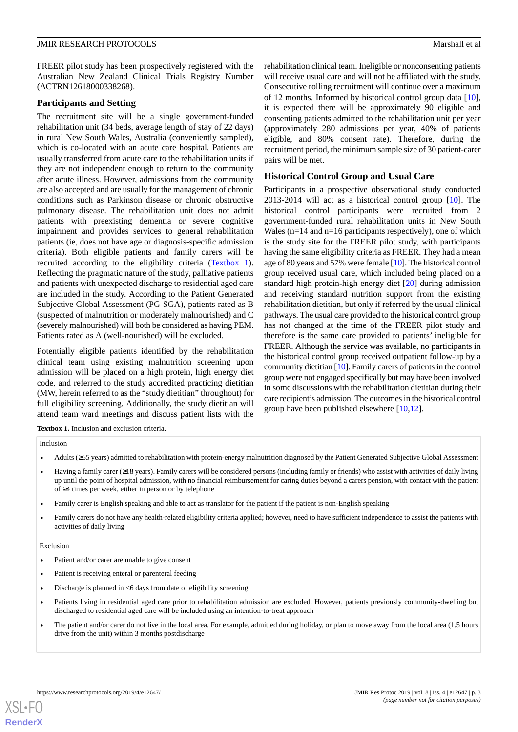FREER pilot study has been prospectively registered with the Australian New Zealand Clinical Trials Registry Number (ACTRN12618000338268).

#### **Participants and Setting**

The recruitment site will be a single government-funded rehabilitation unit (34 beds, average length of stay of 22 days) in rural New South Wales, Australia (conveniently sampled), which is co-located with an acute care hospital. Patients are usually transferred from acute care to the rehabilitation units if they are not independent enough to return to the community after acute illness. However, admissions from the community are also accepted and are usually for the management of chronic conditions such as Parkinson disease or chronic obstructive pulmonary disease. The rehabilitation unit does not admit patients with preexisting dementia or severe cognitive impairment and provides services to general rehabilitation patients (ie, does not have age or diagnosis-specific admission criteria). Both eligible patients and family carers will be recruited according to the eligibility criteria ([Textbox 1\)](#page-2-0). Reflecting the pragmatic nature of the study, palliative patients and patients with unexpected discharge to residential aged care are included in the study. According to the Patient Generated Subjective Global Assessment (PG-SGA), patients rated as B (suspected of malnutrition or moderately malnourished) and C (severely malnourished) will both be considered as having PEM. Patients rated as A (well-nourished) will be excluded.

<span id="page-2-0"></span>Potentially eligible patients identified by the rehabilitation clinical team using existing malnutrition screening upon admission will be placed on a high protein, high energy diet code, and referred to the study accredited practicing dietitian (MW, herein referred to as the "study dietitian" throughout) for full eligibility screening. Additionally, the study dietitian will attend team ward meetings and discuss patient lists with the

rehabilitation clinical team. Ineligible or nonconsenting patients will receive usual care and will not be affiliated with the study. Consecutive rolling recruitment will continue over a maximum of 12 months. Informed by historical control group data [[10\]](#page-6-8), it is expected there will be approximately 90 eligible and consenting patients admitted to the rehabilitation unit per year (approximately 280 admissions per year, 40% of patients eligible, and 80% consent rate). Therefore, during the recruitment period, the minimum sample size of 30 patient-carer pairs will be met.

## **Historical Control Group and Usual Care**

Participants in a prospective observational study conducted 2013-2014 will act as a historical control group [[10\]](#page-6-8). The historical control participants were recruited from 2 government-funded rural rehabilitation units in New South Wales ( $n=14$  and  $n=16$  participants respectively), one of which is the study site for the FREER pilot study, with participants having the same eligibility criteria as FREER. They had a mean age of 80 years and 57% were female [\[10](#page-6-8)]. The historical control group received usual care, which included being placed on a standard high protein-high energy diet [\[20](#page-7-2)] during admission and receiving standard nutrition support from the existing rehabilitation dietitian, but only if referred by the usual clinical pathways. The usual care provided to the historical control group has not changed at the time of the FREER pilot study and therefore is the same care provided to patients' ineligible for FREER. Although the service was available, no participants in the historical control group received outpatient follow-up by a community dietitian [\[10](#page-6-8)]. Family carers of patients in the control group were not engaged specifically but may have been involved in some discussions with the rehabilitation dietitian during their care recipient's admission. The outcomes in the historical control group have been published elsewhere  $[10,12]$  $[10,12]$  $[10,12]$  $[10,12]$ .

**Textbox 1.** Inclusion and exclusion criteria.

#### Inclusion

- Adults (≥65 years) admitted to rehabilitation with protein-energy malnutrition diagnosed by the Patient Generated Subjective Global Assessment
- Having a family carer (≥18 years). Family carers will be considered persons (including family or friends) who assist with activities of daily living up until the point of hospital admission, with no financial reimbursement for caring duties beyond a carers pension, with contact with the patient of ≥4 times per week, either in person or by telephone
- Family carer is English speaking and able to act as translator for the patient if the patient is non-English speaking
- Family carers do not have any health-related eligibility criteria applied; however, need to have sufficient independence to assist the patients with activities of daily living

#### Exclusion

- Patient and/or carer are unable to give consent
- Patient is receiving enteral or parenteral feeding
- $\bullet$  Discharge is planned in <6 days from date of eligibility screening
- Patients living in residential aged care prior to rehabilitation admission are excluded. However, patients previously community-dwelling but discharged to residential aged care will be included using an intention-to-treat approach
- The patient and/or carer do not live in the local area. For example, admitted during holiday, or plan to move away from the local area (1.5 hours drive from the unit) within 3 months postdischarge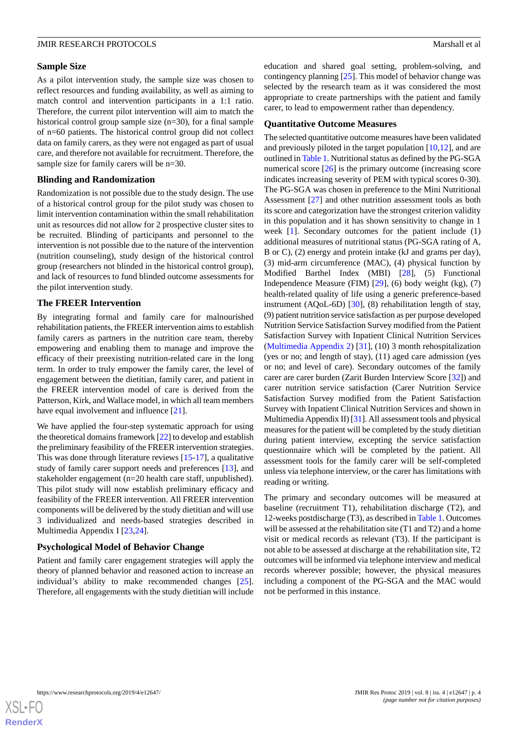#### **Sample Size**

As a pilot intervention study, the sample size was chosen to reflect resources and funding availability, as well as aiming to match control and intervention participants in a 1:1 ratio. Therefore, the current pilot intervention will aim to match the historical control group sample size (n=30), for a final sample of n=60 patients. The historical control group did not collect data on family carers, as they were not engaged as part of usual care, and therefore not available for recruitment. Therefore, the sample size for family carers will be n=30.

#### **Blinding and Randomization**

Randomization is not possible due to the study design. The use of a historical control group for the pilot study was chosen to limit intervention contamination within the small rehabilitation unit as resources did not allow for 2 prospective cluster sites to be recruited. Blinding of participants and personnel to the intervention is not possible due to the nature of the intervention (nutrition counseling), study design of the historical control group (researchers not blinded in the historical control group), and lack of resources to fund blinded outcome assessments for the pilot intervention study.

# **The FREER Intervention**

By integrating formal and family care for malnourished rehabilitation patients, the FREER intervention aims to establish family carers as partners in the nutrition care team, thereby empowering and enabling them to manage and improve the efficacy of their preexisting nutrition-related care in the long term. In order to truly empower the family carer, the level of engagement between the dietitian, family carer, and patient in the FREER intervention model of care is derived from the Patterson, Kirk, and Wallace model, in which all team members have equal involvement and influence [\[21](#page-7-3)].

We have applied the four-step systematic approach for using the theoretical domains framework [[22](#page-7-4)] to develop and establish the preliminary feasibility of the FREER intervention strategies. This was done through literature reviews [\[15](#page-6-13)-[17\]](#page-6-15), a qualitative study of family carer support needs and preferences [\[13](#page-6-11)], and stakeholder engagement (n=20 health care staff, unpublished). This pilot study will now establish preliminary efficacy and feasibility of the FREER intervention. All FREER intervention components will be delivered by the study dietitian and will use 3 individualized and needs-based strategies described in Multimedia Appendix I [[23](#page-7-5)[,24](#page-7-6)].

#### **Psychological Model of Behavior Change**

Patient and family carer engagement strategies will apply the theory of planned behavior and reasoned action to increase an individual's ability to make recommended changes [[25\]](#page-7-7). Therefore, all engagements with the study dietitian will include education and shared goal setting, problem-solving, and contingency planning [[25\]](#page-7-7). This model of behavior change was selected by the research team as it was considered the most appropriate to create partnerships with the patient and family carer, to lead to empowerment rather than dependency.

#### **Quantitative Outcome Measures**

The selected quantitative outcome measures have been validated and previously piloted in the target population [\[10](#page-6-8),[12\]](#page-6-10), and are outlined in [Table 1.](#page-4-0) Nutritional status as defined by the PG-SGA numerical score [\[26](#page-7-8)] is the primary outcome (increasing score indicates increasing severity of PEM with typical scores 0-30). The PG-SGA was chosen in preference to the Mini Nutritional Assessment [\[27](#page-7-9)] and other nutrition assessment tools as both its score and categorization have the strongest criterion validity in this population and it has shown sensitivity to change in 1 week [\[1](#page-6-0)]. Secondary outcomes for the patient include (1) additional measures of nutritional status (PG-SGA rating of A, B or C), (2) energy and protein intake (kJ and grams per day), (3) mid-arm circumference (MAC), (4) physical function by Modified Barthel Index (MBI) [\[28](#page-7-10)], (5) Functional Independence Measure (FIM) [\[29](#page-7-11)], (6) body weight (kg), (7) health-related quality of life using a generic preference-based instrument (AQoL-6D) [[30\]](#page-7-12), (8) rehabilitation length of stay, (9) patient nutrition service satisfaction as per purpose developed Nutrition Service Satisfaction Survey modified from the Patient Satisfaction Survey with Inpatient Clinical Nutrition Services ([Multimedia Appendix 2](#page-6-16)) [[31\]](#page-7-13), (10) 3 month rehospitalization (yes or no; and length of stay), (11) aged care admission (yes or no; and level of care). Secondary outcomes of the family carer are carer burden (Zarit Burden Interview Score [\[32](#page-7-14)]) and carer nutrition service satisfaction (Carer Nutrition Service Satisfaction Survey modified from the Patient Satisfaction Survey with Inpatient Clinical Nutrition Services and shown in Multimedia Appendix II) [\[31](#page-7-13)]. All assessment tools and physical measures for the patient will be completed by the study dietitian during patient interview, excepting the service satisfaction questionnaire which will be completed by the patient. All assessment tools for the family carer will be self-completed unless via telephone interview, or the carer has limitations with reading or writing.

The primary and secondary outcomes will be measured at baseline (recruitment T1), rehabilitation discharge (T2), and 12-weeks postdischarge (T3), as described in [Table 1](#page-4-0). Outcomes will be assessed at the rehabilitation site (T1 and T2) and a home visit or medical records as relevant (T3). If the participant is not able to be assessed at discharge at the rehabilitation site, T2 outcomes will be informed via telephone interview and medical records wherever possible; however, the physical measures including a component of the PG-SGA and the MAC would not be performed in this instance.

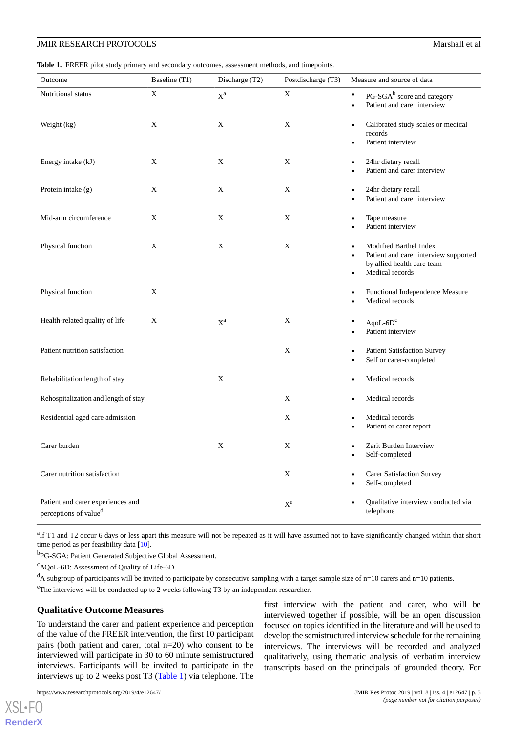<span id="page-4-0"></span>**Table 1.** FREER pilot study primary and secondary outcomes, assessment methods, and timepoints.

| Outcome                                                                | Baseline (T1) | Discharge (T2)        | Postdischarge (T3) | Measure and source of data                                                                                                                 |
|------------------------------------------------------------------------|---------------|-----------------------|--------------------|--------------------------------------------------------------------------------------------------------------------------------------------|
| Nutritional status                                                     | X             | $\mathbf{X}^\text{a}$ | X                  | $PG\text{-}SGA^b$ score and category<br>$\bullet$<br>Patient and carer interview<br>$\bullet$                                              |
| Weight (kg)                                                            | X             | X                     | X                  | Calibrated study scales or medical<br>$\bullet$<br>records<br>Patient interview<br>$\bullet$                                               |
| Energy intake (kJ)                                                     | X             | X                     | X                  | 24hr dietary recall<br>$\bullet$<br>Patient and carer interview                                                                            |
| Protein intake $(g)$                                                   | X             | X                     | X                  | 24hr dietary recall<br>Patient and carer interview                                                                                         |
| Mid-arm circumference                                                  | X             | X                     | X                  | Tape measure<br>$\bullet$<br>Patient interview                                                                                             |
| Physical function                                                      | X             | X                     | X                  | Modified Barthel Index<br>$\bullet$<br>Patient and carer interview supported<br>by allied health care team<br>Medical records<br>$\bullet$ |
| Physical function                                                      | X             |                       |                    | Functional Independence Measure<br>$\bullet$<br>Medical records                                                                            |
| Health-related quality of life                                         | X             | $X^a$                 | X                  | $AqoL-6Dc$<br>Patient interview                                                                                                            |
| Patient nutrition satisfaction                                         |               |                       | X                  | <b>Patient Satisfaction Survey</b><br>$\bullet$<br>Self or carer-completed<br>$\bullet$                                                    |
| Rehabilitation length of stay                                          |               | X                     |                    | Medical records<br>$\bullet$                                                                                                               |
| Rehospitalization and length of stay                                   |               |                       | X                  | Medical records<br>$\bullet$                                                                                                               |
| Residential aged care admission                                        |               |                       | X                  | Medical records<br>$\bullet$<br>Patient or carer report                                                                                    |
| Carer burden                                                           |               | X                     | X                  | Zarit Burden Interview<br>$\bullet$<br>Self-completed<br>$\bullet$                                                                         |
| Carer nutrition satisfaction                                           |               |                       | X                  | <b>Carer Satisfaction Survey</b><br>$\bullet$<br>Self-completed<br>$\bullet$                                                               |
| Patient and carer experiences and<br>perceptions of value <sup>d</sup> |               |                       | $X^e$              | Qualitative interview conducted via<br>telephone                                                                                           |

<sup>a</sup>If T1 and T2 occur 6 days or less apart this measure will not be repeated as it will have assumed not to have significantly changed within that short time period as per feasibility data [\[10\]](#page-6-8).

<sup>b</sup>PG-SGA: Patient Generated Subjective Global Assessment.

<sup>c</sup>AQoL-6D: Assessment of Quality of Life-6D.

 $d_A$  subgroup of participants will be invited to participate by consecutive sampling with a target sample size of  $n=10$  carers and  $n=10$  patients. <sup>e</sup>The interviews will be conducted up to 2 weeks following T3 by an independent researcher.

#### **Qualitative Outcome Measures**

To understand the carer and patient experience and perception of the value of the FREER intervention, the first 10 participant pairs (both patient and carer, total n=20) who consent to be interviewed will participate in 30 to 60 minute semistructured interviews. Participants will be invited to participate in the interviews up to 2 weeks post T3 ([Table 1](#page-4-0)) via telephone. The

first interview with the patient and carer, who will be interviewed together if possible, will be an open discussion focused on topics identified in the literature and will be used to develop the semistructured interview schedule for the remaining interviews. The interviews will be recorded and analyzed qualitatively, using thematic analysis of verbatim interview transcripts based on the principals of grounded theory. For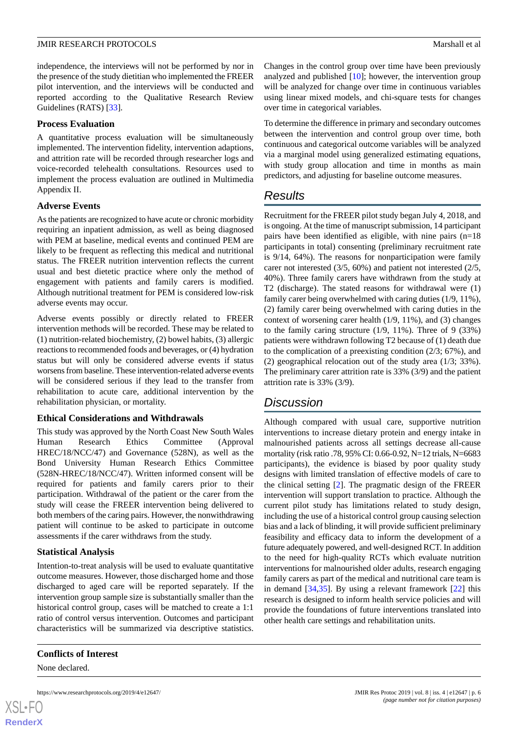independence, the interviews will not be performed by nor in the presence of the study dietitian who implemented the FREER pilot intervention, and the interviews will be conducted and reported according to the Qualitative Research Review Guidelines (RATS) [\[33](#page-7-15)].

### **Process Evaluation**

A quantitative process evaluation will be simultaneously implemented. The intervention fidelity, intervention adaptions, and attrition rate will be recorded through researcher logs and voice-recorded telehealth consultations. Resources used to implement the process evaluation are outlined in Multimedia Appendix II.

# **Adverse Events**

As the patients are recognized to have acute or chronic morbidity requiring an inpatient admission, as well as being diagnosed with PEM at baseline, medical events and continued PEM are likely to be frequent as reflecting this medical and nutritional status. The FREER nutrition intervention reflects the current usual and best dietetic practice where only the method of engagement with patients and family carers is modified. Although nutritional treatment for PEM is considered low-risk adverse events may occur.

Adverse events possibly or directly related to FREER intervention methods will be recorded. These may be related to (1) nutrition-related biochemistry, (2) bowel habits, (3) allergic reactions to recommended foods and beverages, or (4) hydration status but will only be considered adverse events if status worsens from baseline. These intervention-related adverse events will be considered serious if they lead to the transfer from rehabilitation to acute care, additional intervention by the rehabilitation physician, or mortality.

# **Ethical Considerations and Withdrawals**

This study was approved by the North Coast New South Wales Human Research Ethics Committee (Approval HREC/18/NCC/47) and Governance (528N), as well as the Bond University Human Research Ethics Committee (528N-HREC/18/NCC/47). Written informed consent will be required for patients and family carers prior to their participation. Withdrawal of the patient or the carer from the study will cease the FREER intervention being delivered to both members of the caring pairs. However, the nonwithdrawing patient will continue to be asked to participate in outcome assessments if the carer withdraws from the study.

# **Statistical Analysis**

Intention-to-treat analysis will be used to evaluate quantitative outcome measures. However, those discharged home and those discharged to aged care will be reported separately. If the intervention group sample size is substantially smaller than the historical control group, cases will be matched to create a 1:1 ratio of control versus intervention. Outcomes and participant characteristics will be summarized via descriptive statistics.

**Conflicts of Interest**

None declared.

Changes in the control group over time have been previously analyzed and published [[10\]](#page-6-8); however, the intervention group will be analyzed for change over time in continuous variables using linear mixed models, and chi-square tests for changes over time in categorical variables.

To determine the difference in primary and secondary outcomes between the intervention and control group over time, both continuous and categorical outcome variables will be analyzed via a marginal model using generalized estimating equations, with study group allocation and time in months as main predictors, and adjusting for baseline outcome measures.

# *Results*

Recruitment for the FREER pilot study began July 4, 2018, and is ongoing. At the time of manuscript submission, 14 participant pairs have been identified as eligible, with nine pairs (n=18 participants in total) consenting (preliminary recruitment rate is 9/14, 64%). The reasons for nonparticipation were family carer not interested (3/5, 60%) and patient not interested (2/5, 40%). Three family carers have withdrawn from the study at T2 (discharge). The stated reasons for withdrawal were (1) family carer being overwhelmed with caring duties (1/9, 11%), (2) family carer being overwhelmed with caring duties in the context of worsening carer health (1/9, 11%), and (3) changes to the family caring structure (1/9, 11%). Three of 9 (33%) patients were withdrawn following T2 because of (1) death due to the complication of a preexisting condition (2/3; 67%), and (2) geographical relocation out of the study area (1/3; 33%). The preliminary carer attrition rate is 33% (3/9) and the patient attrition rate is 33% (3/9).

# *Discussion*

Although compared with usual care, supportive nutrition interventions to increase dietary protein and energy intake in malnourished patients across all settings decrease all-cause mortality (risk ratio .78, 95% CI: 0.66-0.92, N=12 trials, N=6683 participants), the evidence is biased by poor quality study designs with limited translation of effective models of care to the clinical setting [\[2](#page-6-17)]. The pragmatic design of the FREER intervention will support translation to practice. Although the current pilot study has limitations related to study design, including the use of a historical control group causing selection bias and a lack of blinding, it will provide sufficient preliminary feasibility and efficacy data to inform the development of a future adequately powered, and well-designed RCT. In addition to the need for high-quality RCTs which evaluate nutrition interventions for malnourished older adults, research engaging family carers as part of the medical and nutritional care team is in demand  $[34,35]$  $[34,35]$  $[34,35]$  $[34,35]$ . By using a relevant framework  $[22]$  $[22]$  this research is designed to inform health service policies and will provide the foundations of future interventions translated into other health care settings and rehabilitation units.

 $XSI - F($ **[RenderX](http://www.renderx.com/)**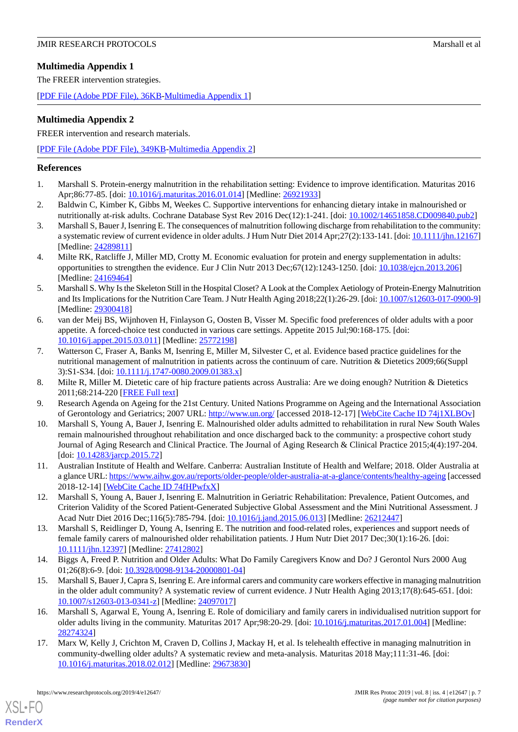# **Multimedia Appendix 1**

The FREER intervention strategies.

<span id="page-6-16"></span>[[PDF File \(Adobe PDF File\), 36KB-Multimedia Appendix 1](https://jmir.org/api/download?alt_name=resprot_v8i4e12647_app1.pdf)]

## **Multimedia Appendix 2**

FREER intervention and research materials.

[[PDF File \(Adobe PDF File\), 349KB-Multimedia Appendix 2](https://jmir.org/api/download?alt_name=resprot_v8i4e12647_app2.pdf)]

### <span id="page-6-0"></span>**References**

- <span id="page-6-17"></span>1. Marshall S. Protein-energy malnutrition in the rehabilitation setting: Evidence to improve identification. Maturitas 2016 Apr;86:77-85. [doi: [10.1016/j.maturitas.2016.01.014\]](http://dx.doi.org/10.1016/j.maturitas.2016.01.014) [Medline: [26921933](http://www.ncbi.nlm.nih.gov/entrez/query.fcgi?cmd=Retrieve&db=PubMed&list_uids=26921933&dopt=Abstract)]
- <span id="page-6-4"></span>2. Baldwin C, Kimber K, Gibbs M, Weekes C. Supportive interventions for enhancing dietary intake in malnourished or nutritionally at-risk adults. Cochrane Database Syst Rev 2016 Dec(12):1-241. [doi: [10.1002/14651858.CD009840.pub2](http://dx.doi.org/10.1002/14651858.CD009840.pub2)]
- <span id="page-6-1"></span>3. Marshall S, Bauer J, Isenring E. The consequences of malnutrition following discharge from rehabilitation to the community: a systematic review of current evidence in older adults. J Hum Nutr Diet 2014 Apr;27(2):133-141. [doi: [10.1111/jhn.12167](http://dx.doi.org/10.1111/jhn.12167)] [Medline: [24289811](http://www.ncbi.nlm.nih.gov/entrez/query.fcgi?cmd=Retrieve&db=PubMed&list_uids=24289811&dopt=Abstract)]
- <span id="page-6-2"></span>4. Milte RK, Ratcliffe J, Miller MD, Crotty M. Economic evaluation for protein and energy supplementation in adults: opportunities to strengthen the evidence. Eur J Clin Nutr 2013 Dec;67(12):1243-1250. [doi: [10.1038/ejcn.2013.206\]](http://dx.doi.org/10.1038/ejcn.2013.206) [Medline: [24169464](http://www.ncbi.nlm.nih.gov/entrez/query.fcgi?cmd=Retrieve&db=PubMed&list_uids=24169464&dopt=Abstract)]
- <span id="page-6-3"></span>5. Marshall S. Why Is the Skeleton Still in the Hospital Closet? A Look at the Complex Aetiology of Protein-Energy Malnutrition and Its Implications for the Nutrition Care Team. J Nutr Health Aging 2018;22(1):26-29. [doi: [10.1007/s12603-017-0900-9\]](http://dx.doi.org/10.1007/s12603-017-0900-9) [Medline: [29300418](http://www.ncbi.nlm.nih.gov/entrez/query.fcgi?cmd=Retrieve&db=PubMed&list_uids=29300418&dopt=Abstract)]
- <span id="page-6-5"></span>6. van der Meij BS, Wijnhoven H, Finlayson G, Oosten B, Visser M. Specific food preferences of older adults with a poor appetite. A forced-choice test conducted in various care settings. Appetite 2015 Jul;90:168-175. [doi: [10.1016/j.appet.2015.03.011](http://dx.doi.org/10.1016/j.appet.2015.03.011)] [Medline: [25772198](http://www.ncbi.nlm.nih.gov/entrez/query.fcgi?cmd=Retrieve&db=PubMed&list_uids=25772198&dopt=Abstract)]
- <span id="page-6-7"></span><span id="page-6-6"></span>7. Watterson C, Fraser A, Banks M, Isenring E, Miller M, Silvester C, et al. Evidence based practice guidelines for the nutritional management of malnutrition in patients across the continuum of care. Nutrition & Dietetics 2009;66(Suppl 3):S1-S34. [doi: [10.1111/j.1747-0080.2009.01383.x\]](http://dx.doi.org/10.1111/j.1747-0080.2009.01383.x)
- <span id="page-6-8"></span>8. Milte R, Miller M. Dietetic care of hip fracture patients across Australia: Are we doing enough? Nutrition & Dietetics 2011;68:214-220 [\[FREE Full text\]](https://onlinelibrary.wiley.com/doi/full/10.1111/j.1747-0080.2011.01538.x)
- 9. Research Agenda on Ageing for the 21st Century. United Nations Programme on Ageing and the International Association of Gerontology and Geriatrics; 2007 URL: <http://www.un.org/> [accessed 2018-12-17] [[WebCite Cache ID 74j1XLBOv\]](http://www.webcitation.org/

                                74j1XLBOv)
- <span id="page-6-9"></span>10. Marshall S, Young A, Bauer J, Isenring E. Malnourished older adults admitted to rehabilitation in rural New South Wales remain malnourished throughout rehabilitation and once discharged back to the community: a prospective cohort study Journal of Aging Research and Clinical Practice. The Journal of Aging Research & Clinical Practice 2015;4(4):197-204. [doi: [10.14283/jarcp.2015.72](http://dx.doi.org/10.14283/jarcp.2015.72)]
- <span id="page-6-11"></span><span id="page-6-10"></span>11. Australian Institute of Health and Welfare. Canberra: Australian Institute of Health and Welfare; 2018. Older Australia at a glance URL:<https://www.aihw.gov.au/reports/older-people/older-australia-at-a-glance/contents/healthy-ageing> [accessed 2018-12-14] [\[WebCite Cache ID 74fHPwfxX](http://www.webcitation.org/

                                74fHPwfxX)]
- <span id="page-6-12"></span>12. Marshall S, Young A, Bauer J, Isenring E. Malnutrition in Geriatric Rehabilitation: Prevalence, Patient Outcomes, and Criterion Validity of the Scored Patient-Generated Subjective Global Assessment and the Mini Nutritional Assessment. J Acad Nutr Diet 2016 Dec;116(5):785-794. [doi: [10.1016/j.jand.2015.06.013\]](http://dx.doi.org/10.1016/j.jand.2015.06.013) [Medline: [26212447](http://www.ncbi.nlm.nih.gov/entrez/query.fcgi?cmd=Retrieve&db=PubMed&list_uids=26212447&dopt=Abstract)]
- <span id="page-6-13"></span>13. Marshall S, Reidlinger D, Young A, Isenring E. The nutrition and food-related roles, experiences and support needs of female family carers of malnourished older rehabilitation patients. J Hum Nutr Diet 2017 Dec;30(1):16-26. [doi: [10.1111/jhn.12397](http://dx.doi.org/10.1111/jhn.12397)] [Medline: [27412802\]](http://www.ncbi.nlm.nih.gov/entrez/query.fcgi?cmd=Retrieve&db=PubMed&list_uids=27412802&dopt=Abstract)
- <span id="page-6-14"></span>14. Biggs A, Freed P. Nutrition and Older Adults: What Do Family Caregivers Know and Do? J Gerontol Nurs 2000 Aug 01;26(8):6-9. [doi: [10.3928/0098-9134-20000801-04\]](http://dx.doi.org/10.3928/0098-9134-20000801-04)
- <span id="page-6-15"></span>15. Marshall S, Bauer J, Capra S, Isenring E. Are informal carers and community care workers effective in managing malnutrition in the older adult community? A systematic review of current evidence. J Nutr Health Aging 2013;17(8):645-651. [doi: [10.1007/s12603-013-0341-z](http://dx.doi.org/10.1007/s12603-013-0341-z)] [Medline: [24097017\]](http://www.ncbi.nlm.nih.gov/entrez/query.fcgi?cmd=Retrieve&db=PubMed&list_uids=24097017&dopt=Abstract)
- 16. Marshall S, Agarwal E, Young A, Isenring E. Role of domiciliary and family carers in individualised nutrition support for older adults living in the community. Maturitas 2017 Apr;98:20-29. [doi: [10.1016/j.maturitas.2017.01.004\]](http://dx.doi.org/10.1016/j.maturitas.2017.01.004) [Medline: [28274324](http://www.ncbi.nlm.nih.gov/entrez/query.fcgi?cmd=Retrieve&db=PubMed&list_uids=28274324&dopt=Abstract)]
- 17. Marx W, Kelly J, Crichton M, Craven D, Collins J, Mackay H, et al. Is telehealth effective in managing malnutrition in community-dwelling older adults? A systematic review and meta-analysis. Maturitas 2018 May;111:31-46. [doi: [10.1016/j.maturitas.2018.02.012\]](http://dx.doi.org/10.1016/j.maturitas.2018.02.012) [Medline: [29673830\]](http://www.ncbi.nlm.nih.gov/entrez/query.fcgi?cmd=Retrieve&db=PubMed&list_uids=29673830&dopt=Abstract)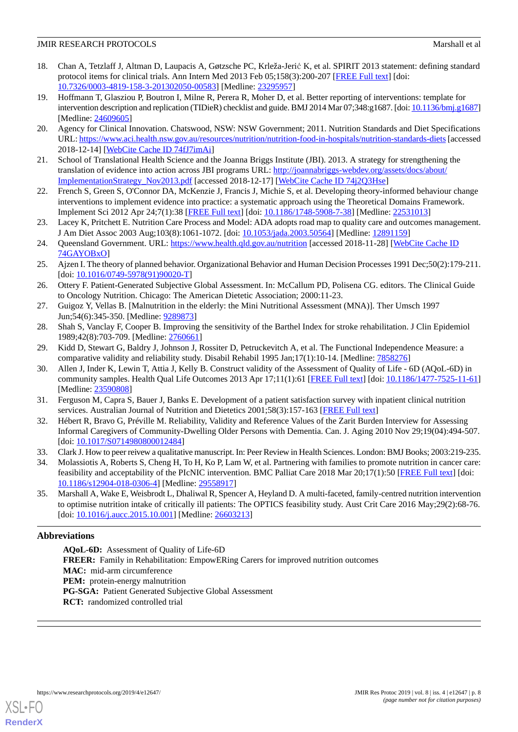## **JMIR RESEARCH PROTOCOLS Marshall et al. Marshall et al. Marshall et al. Marshall et al. Marshall et al. Marshall et al. Marshall et al. Marshall et al. Marshall et al. Marshall et al. Marshall et al.**

- <span id="page-7-0"></span>18. Chan A, Tetzlaff J, Altman D, Laupacis A, Gøtzsche PC, Krleža-Jerić K, et al. SPIRIT 2013 statement: defining standard protocol items for clinical trials. Ann Intern Med 2013 Feb 05;158(3):200-207 [[FREE Full text](http://europepmc.org/abstract/MED/23295957)] [doi: [10.7326/0003-4819-158-3-201302050-00583](http://dx.doi.org/10.7326/0003-4819-158-3-201302050-00583)] [Medline: [23295957](http://www.ncbi.nlm.nih.gov/entrez/query.fcgi?cmd=Retrieve&db=PubMed&list_uids=23295957&dopt=Abstract)]
- <span id="page-7-1"></span>19. Hoffmann T, Glasziou P, Boutron I, Milne R, Perera R, Moher D, et al. Better reporting of interventions: template for intervention description and replication (TIDieR) checklist and guide. BMJ 2014 Mar 07;348:g1687. [doi: [10.1136/bmj.g1687](http://dx.doi.org/10.1136/bmj.g1687)] [Medline: [24609605](http://www.ncbi.nlm.nih.gov/entrez/query.fcgi?cmd=Retrieve&db=PubMed&list_uids=24609605&dopt=Abstract)]
- <span id="page-7-3"></span><span id="page-7-2"></span>20. Agency for Clinical Innovation. Chatswood, NSW: NSW Government; 2011. Nutrition Standards and Diet Specifications URL:<https://www.aci.health.nsw.gov.au/resources/nutrition/nutrition-food-in-hospitals/nutrition-standards-diets> [accessed 2018-12-14] [\[WebCite Cache ID 74fJ7imAi\]](http://www.webcitation.org/

                                74fJ7imAi)
- <span id="page-7-4"></span>21. School of Translational Health Science and the Joanna Briggs Institute (JBI). 2013. A strategy for strengthening the translation of evidence into action across JBI programs URL: [http://joannabriggs-webdev.org/assets/docs/about/](http://joannabriggs-webdev.org/assets/docs/about/ImplementationStrategy_Nov2013.pdf) [ImplementationStrategy\\_Nov2013.pdf](http://joannabriggs-webdev.org/assets/docs/about/ImplementationStrategy_Nov2013.pdf) [accessed 2018-12-17] [\[WebCite Cache ID 74j2Q3Hse](http://www.webcitation.org/

                                74j2Q3Hse)]
- <span id="page-7-5"></span>22. French S, Green S, O'Connor DA, McKenzie J, Francis J, Michie S, et al. Developing theory-informed behaviour change interventions to implement evidence into practice: a systematic approach using the Theoretical Domains Framework. Implement Sci 2012 Apr 24;7(1):38 [\[FREE Full text\]](https://implementationscience.biomedcentral.com/articles/10.1186/1748-5908-7-38) [doi: [10.1186/1748-5908-7-38](http://dx.doi.org/10.1186/1748-5908-7-38)] [Medline: [22531013\]](http://www.ncbi.nlm.nih.gov/entrez/query.fcgi?cmd=Retrieve&db=PubMed&list_uids=22531013&dopt=Abstract)
- <span id="page-7-6"></span>23. Lacey K, Pritchett E. Nutrition Care Process and Model: ADA adopts road map to quality care and outcomes management. J Am Diet Assoc 2003 Aug;103(8):1061-1072. [doi: [10.1053/jada.2003.50564\]](http://dx.doi.org/10.1053/jada.2003.50564) [Medline: [12891159](http://www.ncbi.nlm.nih.gov/entrez/query.fcgi?cmd=Retrieve&db=PubMed&list_uids=12891159&dopt=Abstract)]
- <span id="page-7-7"></span>24. Queensland Government. URL:<https://www.health.qld.gov.au/nutrition> [accessed 2018-11-28] [\[WebCite Cache ID](http://www.webcitation.org/

                                74GAYOBxO) [74GAYOBxO\]](http://www.webcitation.org/

                                74GAYOBxO)
- <span id="page-7-8"></span>25. Ajzen I. The theory of planned behavior. Organizational Behavior and Human Decision Processes 1991 Dec;50(2):179-211. [doi: [10.1016/0749-5978\(91\)90020-T\]](http://dx.doi.org/10.1016/0749-5978(91)90020-T)
- <span id="page-7-10"></span><span id="page-7-9"></span>26. Ottery F. Patient-Generated Subjective Global Assessment. In: McCallum PD, Polisena CG. editors. The Clinical Guide to Oncology Nutrition. Chicago: The American Dietetic Association; 2000:11-23.
- <span id="page-7-11"></span>27. Guigoz Y, Vellas B. [Malnutrition in the elderly: the Mini Nutritional Assessment (MNA)]. Ther Umsch 1997 Jun;54(6):345-350. [Medline: [9289873\]](http://www.ncbi.nlm.nih.gov/entrez/query.fcgi?cmd=Retrieve&db=PubMed&list_uids=9289873&dopt=Abstract)
- <span id="page-7-12"></span>28. Shah S, Vanclay F, Cooper B. Improving the sensitivity of the Barthel Index for stroke rehabilitation. J Clin Epidemiol 1989;42(8):703-709. [Medline: [2760661](http://www.ncbi.nlm.nih.gov/entrez/query.fcgi?cmd=Retrieve&db=PubMed&list_uids=2760661&dopt=Abstract)]
- 29. Kidd D, Stewart G, Baldry J, Johnson J, Rossiter D, Petruckevitch A, et al. The Functional Independence Measure: a comparative validity and reliability study. Disabil Rehabil 1995 Jan;17(1):10-14. [Medline: [7858276](http://www.ncbi.nlm.nih.gov/entrez/query.fcgi?cmd=Retrieve&db=PubMed&list_uids=7858276&dopt=Abstract)]
- <span id="page-7-14"></span><span id="page-7-13"></span>30. Allen J, Inder K, Lewin T, Attia J, Kelly B. Construct validity of the Assessment of Quality of Life - 6D (AQoL-6D) in community samples. Health Qual Life Outcomes 2013 Apr 17;11(1):61 [\[FREE Full text](https://hqlo.biomedcentral.com/articles/10.1186/1477-7525-11-61)] [doi: [10.1186/1477-7525-11-61](http://dx.doi.org/10.1186/1477-7525-11-61)] [Medline: [23590808](http://www.ncbi.nlm.nih.gov/entrez/query.fcgi?cmd=Retrieve&db=PubMed&list_uids=23590808&dopt=Abstract)]
- <span id="page-7-15"></span>31. Ferguson M, Capra S, Bauer J, Banks E. Development of a patient satisfaction survey with inpatient clinical nutrition services. Australian Journal of Nutrition and Dietetics 2001;58(3):157-163 [\[FREE Full text\]](https://daa.asn.au/wp-content/uploads/2016/12/58-3-development-of-a-patient....pdf)
- <span id="page-7-16"></span>32. Hébert R, Bravo G, Préville M. Reliability, Validity and Reference Values of the Zarit Burden Interview for Assessing Informal Caregivers of Community-Dwelling Older Persons with Dementia. Can. J. Aging 2010 Nov 29;19(04):494-507. [doi: [10.1017/S0714980800012484\]](http://dx.doi.org/10.1017/S0714980800012484)
- <span id="page-7-17"></span>33. Clark J. How to peer reivew a qualitative manuscript. In: Peer Review in Health Sciences. London: BMJ Books; 2003:219-235.
- 34. Molassiotis A, Roberts S, Cheng H, To H, Ko P, Lam W, et al. Partnering with families to promote nutrition in cancer care: feasibility and acceptability of the PIcNIC intervention. BMC Palliat Care 2018 Mar 20;17(1):50 [\[FREE Full text](https://bmcpalliatcare.biomedcentral.com/articles/10.1186/s12904-018-0306-4)] [doi: [10.1186/s12904-018-0306-4\]](http://dx.doi.org/10.1186/s12904-018-0306-4) [Medline: [29558917](http://www.ncbi.nlm.nih.gov/entrez/query.fcgi?cmd=Retrieve&db=PubMed&list_uids=29558917&dopt=Abstract)]
- 35. Marshall A, Wake E, Weisbrodt L, Dhaliwal R, Spencer A, Heyland D. A multi-faceted, family-centred nutrition intervention to optimise nutrition intake of critically ill patients: The OPTICS feasibility study. Aust Crit Care 2016 May;29(2):68-76. [doi: [10.1016/j.aucc.2015.10.001](http://dx.doi.org/10.1016/j.aucc.2015.10.001)] [Medline: [26603213](http://www.ncbi.nlm.nih.gov/entrez/query.fcgi?cmd=Retrieve&db=PubMed&list_uids=26603213&dopt=Abstract)]

# **Abbreviations**

**AQoL-6D:** Assessment of Quality of Life-6D **FREER:** Family in Rehabilitation: EmpowERing Carers for improved nutrition outcomes **MAC:** mid-arm circumference **PEM:** protein-energy malnutrition PG-SGA: Patient Generated Subjective Global Assessment **RCT:** randomized controlled trial